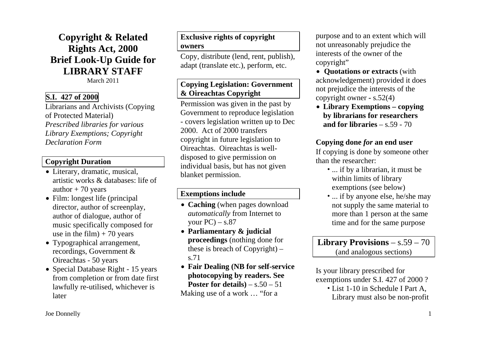**Copyright & Related Rights Act, 2000 Brief Look-Up Guide for LIBRARY STAFF** 

March 2011

### **S.I. 427 of 2000**

Librarians and Archivists (Copying of Protected Material) *Prescribed libraries for various Library Exemptions; Copyright Declaration Form* 

#### **Copyright Duration**

- Literary, dramatic, musical, artistic works & databases: life of author  $+70$  years
- Film: longest life (principal director, author of screenplay, author of dialogue, author of music specifically composed for use in the film)  $+ 70$  years
- Typographical arrangement, recordings, Government & Oireachtas - 50 years
- Special Database Right 15 years from completion or from date first lawfully re-utilised, whichever is later

## **Exclusive rights of copyright owners**

Copy, distribute (lend, rent, publish), adapt (translate etc.), perform, etc.

## **Copying Legislation: Government & Oireachtas Copyright**

Permission was given in the past by Government to reproduce legislation - covers legislation written up to Dec 2000. Act of 2000 transfers copyright in future legislation to Oireachtas. Oireachtas is welldisposed to give permission on individual basis, but has not given blanket permission.

#### **Exemptions include**

- **Caching** (when pages download *automatically* from Internet to your  $PC$ ) – s.87
- n **Parliamentary & judicial proceedings** (nothing done for these is breach of Copyright) – s.71
- n **Fair Dealing (NB for self-service photocopying by readers. See Poster for details** $) - s.50 - 51$ Making use of a work … "for a

purpose and to an extent which will not unreasonably prejudice the interests of the owner of the copyright"

• Quotations or extracts (with acknowledgement) provided it does not prejudice the interests of the copyright owner **-** s.52(4)

n **Library Exemptions – copying by librarians for researchers and for libraries** – s.59 - 70

### **Copying done** *for* **an end user**

If copying is done by someone other than the researcher:

- ... if by a librarian, it must be within limits of library exemptions (see below)
- ... if by anyone else, he/she may not supply the same material to more than 1 person at the same time and for the same purpose

## **Library Provisions** – s.59 – 70 (and analogous sections)

Is your library prescribed for exemptions under S.I. 427 of 2000 ? • List 1-10 in Schedule I Part A, Library must also be non-profit